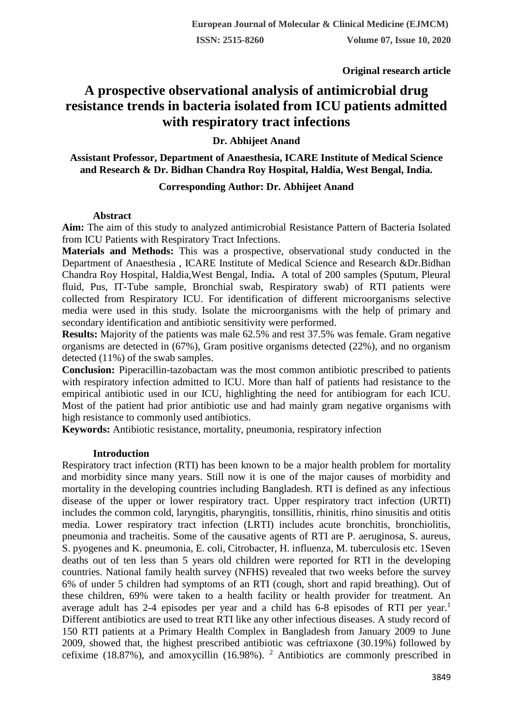**Original research article** 

# **A prospective observational analysis of antimicrobial drug resistance trends in bacteria isolated from ICU patients admitted with respiratory tract infections**

## **Dr. Abhijeet Anand**

## **Assistant Professor, Department of Anaesthesia, ICARE Institute of Medical Science and Research & Dr. Bidhan Chandra Roy Hospital, Haldia, West Bengal, India.**

## **Corresponding Author: Dr. Abhijeet Anand**

## **Abstract**

**Aim:** The aim of this study to analyzed antimicrobial Resistance Pattern of Bacteria Isolated from ICU Patients with Respiratory Tract Infections.

**Materials and Methods:** This was a prospective, observational study conducted in the Department of Anaesthesia , ICARE Institute of Medical Science and Research &Dr.Bidhan Chandra Roy Hospital, Haldia,West Bengal, India**.** A total of 200 samples (Sputum, Pleural fluid, Pus, IT-Tube sample, Bronchial swab, Respiratory swab) of RTI patients were collected from Respiratory ICU. For identification of different microorganisms selective media were used in this study. Isolate the microorganisms with the help of primary and secondary identification and antibiotic sensitivity were performed.

**Results:** Majority of the patients was male 62.5% and rest 37.5% was female. Gram negative organisms are detected in (67%), Gram positive organisms detected (22%), and no organism detected (11%) of the swab samples.

**Conclusion:** Piperacillin-tazobactam was the most common antibiotic prescribed to patients with respiratory infection admitted to ICU. More than half of patients had resistance to the empirical antibiotic used in our ICU, highlighting the need for antibiogram for each ICU. Most of the patient had prior antibiotic use and had mainly gram negative organisms with high resistance to commonly used antibiotics.

**Keywords:** Antibiotic resistance, mortality, pneumonia, respiratory infection

## **Introduction**

Respiratory tract infection (RTI) has been known to be a major health problem for mortality and morbidity since many years. Still now it is one of the major causes of morbidity and mortality in the developing countries including Bangladesh. RTI is defined as any infectious disease of the upper or lower respiratory tract. Upper respiratory tract infection (URTI) includes the common cold, laryngitis, pharyngitis, tonsillitis, rhinitis, rhino sinusitis and otitis media. Lower respiratory tract infection (LRTI) includes acute bronchitis, bronchiolitis, pneumonia and tracheitis. Some of the causative agents of RTI are P. aeruginosa, S. aureus, S. pyogenes and K. pneumonia, E. coli, Citrobacter, H. influenza, M. tuberculosis etc. 1Seven deaths out of ten less than 5 years old children were reported for RTI in the developing countries. National family health survey (NFHS) revealed that two weeks before the survey 6% of under 5 children had symptoms of an RTI (cough, short and rapid breathing). Out of these children, 69% were taken to a health facility or health provider for treatment. An average adult has  $2-4$  episodes per year and a child has  $6-8$  episodes of RTI per year.<sup>1</sup> Different antibiotics are used to treat RTI like any other infectious diseases. A study record of 150 RTI patients at a Primary Health Complex in Bangladesh from January 2009 to June 2009, showed that, the highest prescribed antibiotic was ceftriaxone (30.19%) followed by cefixime (18.87%), and amoxycillin (16.98%). <sup>2</sup> Antibiotics are commonly prescribed in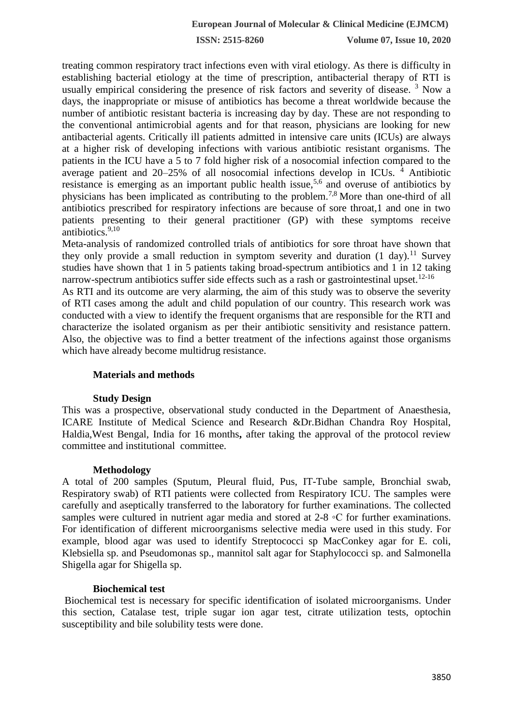**ISSN: 2515-8260 Volume 07, Issue 10, 2020**

treating common respiratory tract infections even with viral etiology. As there is difficulty in establishing bacterial etiology at the time of prescription, antibacterial therapy of RTI is usually empirical considering the presence of risk factors and severity of disease.<sup>3</sup> Now a days, the inappropriate or misuse of antibiotics has become a threat worldwide because the number of antibiotic resistant bacteria is increasing day by day. These are not responding to the conventional antimicrobial agents and for that reason, physicians are looking for new antibacterial agents. Critically ill patients admitted in intensive care units (ICUs) are always at a higher risk of developing infections with various antibiotic resistant organisms. The patients in the ICU have a 5 to 7 fold higher risk of a nosocomial infection compared to the average patient and 20–25% of all nosocomial infections develop in ICUs. <sup>4</sup> Antibiotic resistance is emerging as an important public health issue,<sup>5,6</sup> and overuse of antibiotics by physicians has been implicated as contributing to the problem.7,8 More than one-third of all antibiotics prescribed for respiratory infections are because of sore throat,1 and one in two patients presenting to their general practitioner (GP) with these symptoms receive antibiotics. $9,10$ 

Meta-analysis of randomized controlled trials of antibiotics for sore throat have shown that they only provide a small reduction in symptom severity and duration  $(1 \text{ day})$ .<sup>11</sup> Survey studies have shown that 1 in 5 patients taking broad-spectrum antibiotics and 1 in 12 taking narrow-spectrum antibiotics suffer side effects such as a rash or gastrointestinal upset.<sup>12-16</sup>

As RTI and its outcome are very alarming, the aim of this study was to observe the severity of RTI cases among the adult and child population of our country. This research work was conducted with a view to identify the frequent organisms that are responsible for the RTI and characterize the isolated organism as per their antibiotic sensitivity and resistance pattern. Also, the objective was to find a better treatment of the infections against those organisms which have already become multidrug resistance.

## **Materials and methods**

## **Study Design**

This was a prospective, observational study conducted in the Department of Anaesthesia, ICARE Institute of Medical Science and Research &Dr.Bidhan Chandra Roy Hospital, Haldia,West Bengal, India for 16 months**,** after taking the approval of the protocol review committee and institutional committee.

#### **Methodology**

A total of 200 samples (Sputum, Pleural fluid, Pus, IT-Tube sample, Bronchial swab, Respiratory swab) of RTI patients were collected from Respiratory ICU. The samples were carefully and aseptically transferred to the laboratory for further examinations. The collected samples were cultured in nutrient agar media and stored at 2-8 ◦C for further examinations. For identification of different microorganisms selective media were used in this study. For example, blood agar was used to identify Streptococci sp MacConkey agar for E. coli, Klebsiella sp. and Pseudomonas sp., mannitol salt agar for Staphylococci sp. and Salmonella Shigella agar for Shigella sp.

## **Biochemical test**

Biochemical test is necessary for specific identification of isolated microorganisms. Under this section, Catalase test, triple sugar ion agar test, citrate utilization tests, optochin susceptibility and bile solubility tests were done.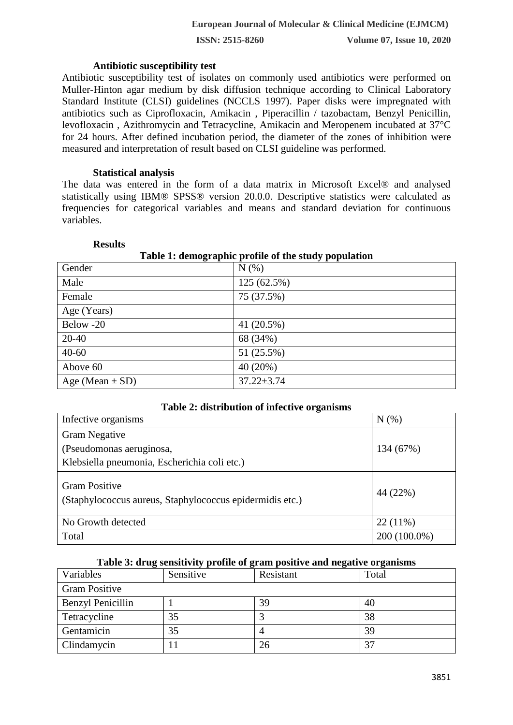**ISSN: 2515-8260 Volume 07, Issue 10, 2020**

#### **Antibiotic susceptibility test**

Antibiotic susceptibility test of isolates on commonly used antibiotics were performed on Muller-Hinton agar medium by disk diffusion technique according to Clinical Laboratory Standard Institute (CLSI) guidelines (NCCLS 1997). Paper disks were impregnated with antibiotics such as Ciprofloxacin, Amikacin , Piperacillin / tazobactam, Benzyl Penicillin, levofloxacin , Azithromycin and Tetracycline, Amikacin and Meropenem incubated at 37°C for 24 hours. After defined incubation period, the diameter of the zones of inhibition were measured and interpretation of result based on CLSI guideline was performed.

## **Statistical analysis**

The data was entered in the form of a data matrix in Microsoft Excel® and analysed statistically using IBM® SPSS® version 20.0.0. Descriptive statistics were calculated as frequencies for categorical variables and means and standard deviation for continuous variables.

| Table 1: demographic profile of the study population |                  |  |  |  |
|------------------------------------------------------|------------------|--|--|--|
| Gender                                               | N(% )            |  |  |  |
| Male                                                 | 125 (62.5%)      |  |  |  |
| Female                                               | 75 (37.5%)       |  |  |  |
| Age (Years)                                          |                  |  |  |  |
| Below -20                                            | 41 (20.5%)       |  |  |  |
| $20 - 40$                                            | 68 (34%)         |  |  |  |
| $40 - 60$                                            | 51 (25.5%)       |  |  |  |
| Above 60                                             | 40 (20%)         |  |  |  |
| Age (Mean $\pm$ SD)                                  | $37.22 \pm 3.74$ |  |  |  |

#### **Results**

#### **Table 2: distribution of infective organisms**

| Infective organisms                                                              | $N(\%)$      |
|----------------------------------------------------------------------------------|--------------|
| <b>Gram Negative</b>                                                             |              |
| (Pseudomonas aeruginosa,                                                         | 134 (67%)    |
| Klebsiella pneumonia, Escherichia coli etc.)                                     |              |
| <b>Gram Positive</b><br>(Staphylococcus aureus, Staphylococcus epidermidis etc.) | 44 (22%)     |
| No Growth detected                                                               | $22(11\%)$   |
| Total                                                                            | 200 (100.0%) |

## **Table 3: drug sensitivity profile of gram positive and negative organisms**

| Variables                | Sensitive | Resistant | Total |  |  |
|--------------------------|-----------|-----------|-------|--|--|
| <b>Gram Positive</b>     |           |           |       |  |  |
| <b>Benzyl Penicillin</b> |           | 39        | 40    |  |  |
| Tetracycline             | 35        |           | 38    |  |  |
| Gentamicin               | 35        |           | 39    |  |  |
| Clindamycin              |           | 26        | 37    |  |  |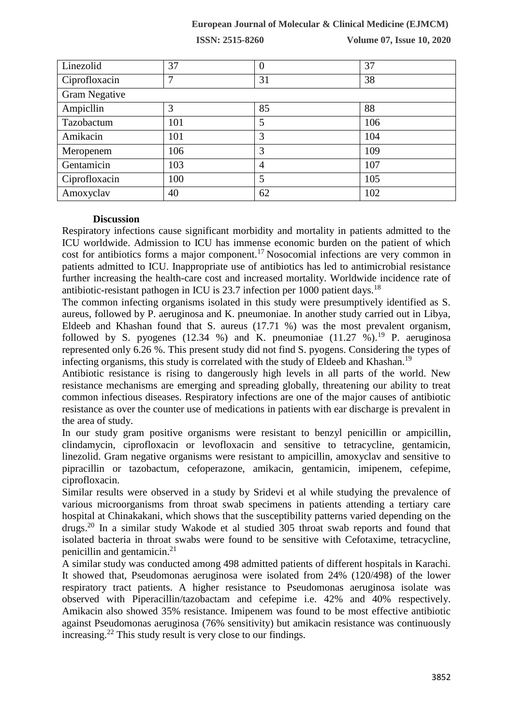## **European Journal of Molecular & Clinical Medicine (EJMCM)**

**ISSN: 2515-8260 Volume 07, Issue 10, 2020**

| Linezolid            | 37  | $\boldsymbol{0}$ | 37  |  |  |
|----------------------|-----|------------------|-----|--|--|
| Ciprofloxacin        | 7   | 31               | 38  |  |  |
| <b>Gram Negative</b> |     |                  |     |  |  |
| Ampicllin            | 3   | 85               | 88  |  |  |
| Tazobactum           | 101 | 5                | 106 |  |  |
| Amikacin             | 101 | 3                | 104 |  |  |
| Meropenem            | 106 | 3                | 109 |  |  |
| Gentamicin           | 103 | $\overline{4}$   | 107 |  |  |
| Ciprofloxacin        | 100 | 5                | 105 |  |  |
| Amoxyclav            | 40  | 62               | 102 |  |  |

#### **Discussion**

Respiratory infections cause significant morbidity and mortality in patients admitted to the ICU worldwide. Admission to ICU has immense economic burden on the patient of which cost for antibiotics forms a major component.<sup>17</sup> Nosocomial infections are very common in patients admitted to ICU. Inappropriate use of antibiotics has led to antimicrobial resistance further increasing the health-care cost and increased mortality. Worldwide incidence rate of antibiotic-resistant pathogen in ICU is 23.7 infection per 1000 patient days.<sup>18</sup>

The common infecting organisms isolated in this study were presumptively identified as S. aureus, followed by P. aeruginosa and K. pneumoniae. In another study carried out in Libya, Eldeeb and Khashan found that S. aureus (17.71 %) was the most prevalent organism, followed by S. pyogenes (12.34 %) and K. pneumoniae  $(11.27 \text{ %})$ .<sup>19</sup> P. aeruginosa represented only 6.26 %. This present study did not find S. pyogens. Considering the types of infecting organisms, this study is correlated with the study of Eldeeb and Khashan.<sup>19</sup>

Antibiotic resistance is rising to dangerously high levels in all parts of the world. New resistance mechanisms are emerging and spreading globally, threatening our ability to treat common infectious diseases. Respiratory infections are one of the major causes of antibiotic resistance as over the counter use of medications in patients with ear discharge is prevalent in the area of study.

In our study gram positive organisms were resistant to benzyl penicillin or ampicillin, clindamycin, ciprofloxacin or levofloxacin and sensitive to tetracycline, gentamicin, linezolid. Gram negative organisms were resistant to ampicillin, amoxyclav and sensitive to pipracillin or tazobactum, cefoperazone, amikacin, gentamicin, imipenem, cefepime, ciprofloxacin.

Similar results were observed in a study by Sridevi et al while studying the prevalence of various microorganisms from throat swab specimens in patients attending a tertiary care hospital at Chinakakani, which shows that the susceptibility patterns varied depending on the drugs.<sup>20</sup> In a similar study Wakode et al studied 305 throat swab reports and found that isolated bacteria in throat swabs were found to be sensitive with Cefotaxime, tetracycline, penicillin and gentamicin. $^{21}$ 

A similar study was conducted among 498 admitted patients of different hospitals in Karachi. It showed that, Pseudomonas aeruginosa were isolated from 24% (120/498) of the lower respiratory tract patients. A higher resistance to Pseudomonas aeruginosa isolate was observed with Piperacillin/tazobactam and cefepime i.e. 42% and 40% respectively. Amikacin also showed 35% resistance. Imipenem was found to be most effective antibiotic against Pseudomonas aeruginosa (76% sensitivity) but amikacin resistance was continuously increasing.<sup>22</sup> This study result is very close to our findings.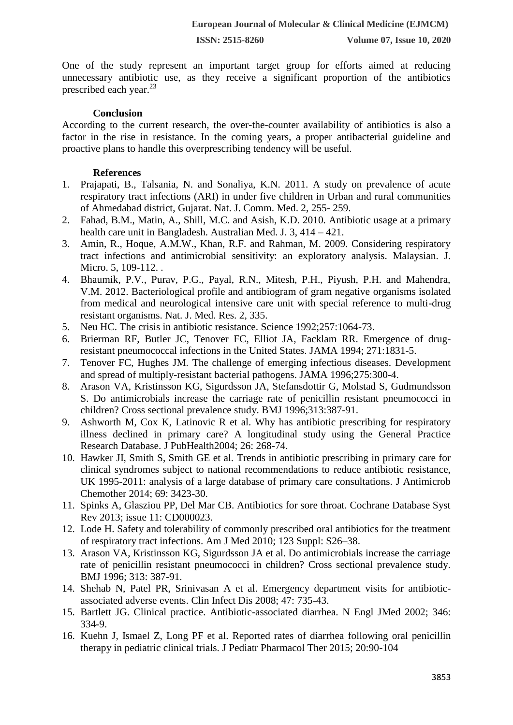**ISSN: 2515-8260 Volume 07, Issue 10, 2020**

One of the study represent an important target group for efforts aimed at reducing unnecessary antibiotic use, as they receive a significant proportion of the antibiotics prescribed each year.<sup>23</sup>

## **Conclusion**

According to the current research, the over-the-counter availability of antibiotics is also a factor in the rise in resistance. In the coming years, a proper antibacterial guideline and proactive plans to handle this overprescribing tendency will be useful.

#### **References**

- 1. Prajapati, B., Talsania, N. and Sonaliya, K.N. 2011. A study on prevalence of acute respiratory tract infections (ARI) in under five children in Urban and rural communities of Ahmedabad district, Gujarat. Nat. J. Comm. Med. 2, 255- 259.
- 2. Fahad, B.M., Matin, A., Shill, M.C. and Asish, K.D. 2010. Antibiotic usage at a primary health care unit in Bangladesh. Australian Med. J. 3, 414 – 421.
- 3. Amin, R., Hoque, A.M.W., Khan, R.F. and Rahman, M. 2009. Considering respiratory tract infections and antimicrobial sensitivity: an exploratory analysis. Malaysian. J. Micro. 5, 109-112. .
- 4. Bhaumik, P.V., Purav, P.G., Payal, R.N., Mitesh, P.H., Piyush, P.H. and Mahendra, V.M. 2012. Bacteriological profile and antibiogram of gram negative organisms isolated from medical and neurological intensive care unit with special reference to multi-drug resistant organisms. Nat. J. Med. Res. 2, 335.
- 5. Neu HC. The crisis in antibiotic resistance. Science 1992;257:1064-73.
- 6. Brierman RF, Butler JC, Tenover FC, Elliot JA, Facklam RR. Emergence of drugresistant pneumococcal infections in the United States. JAMA 1994; 271:1831-5.
- 7. Tenover FC, Hughes JM. The challenge of emerging infectious diseases. Development and spread of multiply-resistant bacterial pathogens. JAMA 1996;275:300-4.
- 8. Arason VA, Kristinsson KG, Sigurdsson JA, Stefansdottir G, Molstad S, Gudmundsson S. Do antimicrobials increase the carriage rate of penicillin resistant pneumococci in children? Cross sectional prevalence study. BMJ 1996;313:387-91.
- 9. Ashworth M, Cox K, Latinovic R et al. Why has antibiotic prescribing for respiratory illness declined in primary care? A longitudinal study using the General Practice Research Database. J PubHealth2004; 26: 268-74.
- 10. Hawker JI, Smith S, Smith GE et al. Trends in antibiotic prescribing in primary care for clinical syndromes subject to national recommendations to reduce antibiotic resistance, UK 1995-2011: analysis of a large database of primary care consultations. J Antimicrob Chemother 2014; 69: 3423-30.
- 11. Spinks A, Glasziou PP, Del Mar CB. Antibiotics for sore throat. Cochrane Database Syst Rev 2013; issue 11: CD000023.
- 12. Lode H. Safety and tolerability of commonly prescribed oral antibiotics for the treatment of respiratory tract infections. Am J Med 2010; 123 Suppl: S26–38.
- 13. Arason VA, Kristinsson KG, Sigurdsson JA et al. Do antimicrobials increase the carriage rate of penicillin resistant pneumococci in children? Cross sectional prevalence study. BMJ 1996; 313: 387-91.
- 14. Shehab N, Patel PR, Srinivasan A et al. Emergency department visits for antibioticassociated adverse events. Clin Infect Dis 2008; 47: 735-43.
- 15. Bartlett JG. Clinical practice. Antibiotic-associated diarrhea. N Engl JMed 2002; 346: 334-9.
- 16. Kuehn J, Ismael Z, Long PF et al. Reported rates of diarrhea following oral penicillin therapy in pediatric clinical trials. J Pediatr Pharmacol Ther 2015; 20:90-104